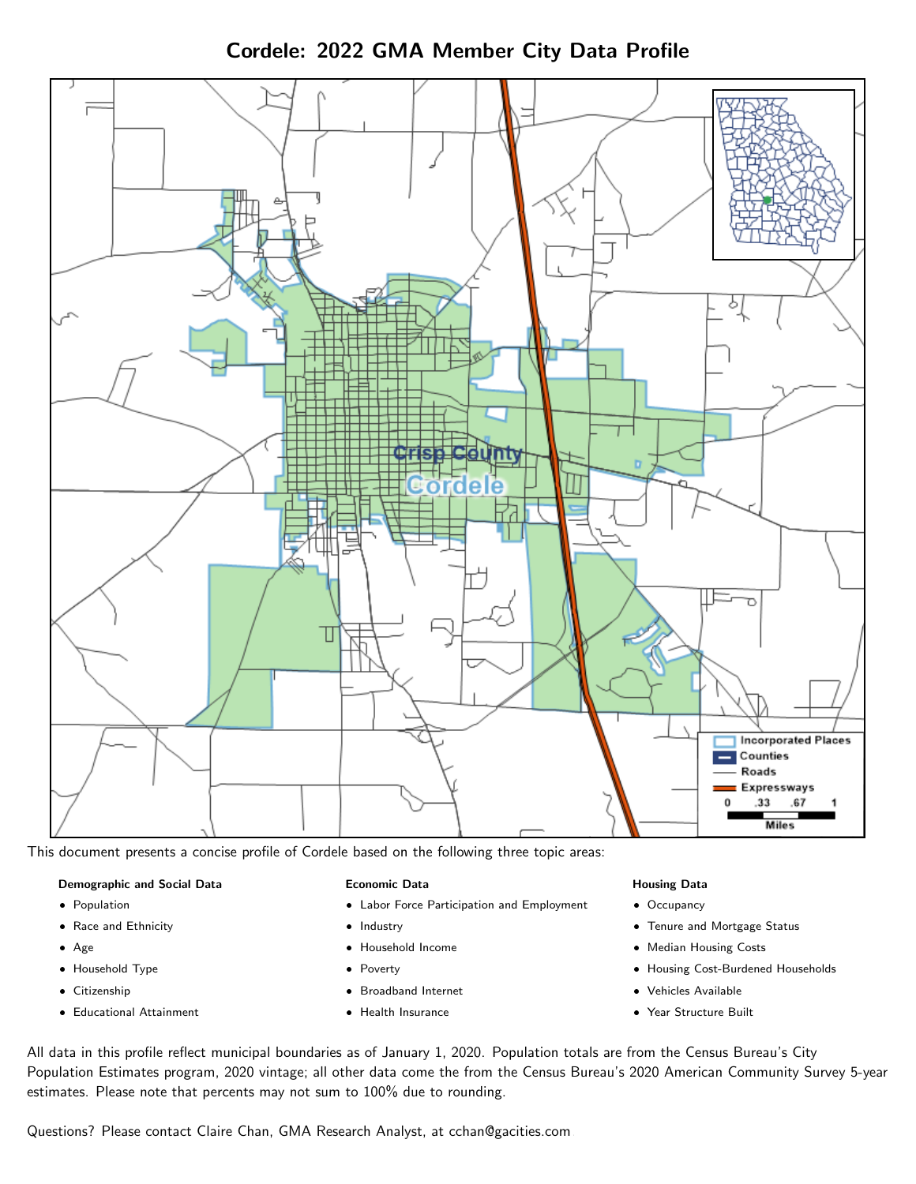Cordele: 2022 GMA Member City Data Profile



This document presents a concise profile of Cordele based on the following three topic areas:

#### Demographic and Social Data

- **•** Population
- Race and Ethnicity
- Age
- Household Type
- **Citizenship**
- Educational Attainment

#### Economic Data

- Labor Force Participation and Employment
- Industry
- Household Income
- Poverty
- Broadband Internet
- Health Insurance

#### Housing Data

- Occupancy
- Tenure and Mortgage Status
- Median Housing Costs
- Housing Cost-Burdened Households
- Vehicles Available
- Year Structure Built

All data in this profile reflect municipal boundaries as of January 1, 2020. Population totals are from the Census Bureau's City Population Estimates program, 2020 vintage; all other data come the from the Census Bureau's 2020 American Community Survey 5-year estimates. Please note that percents may not sum to 100% due to rounding.

Questions? Please contact Claire Chan, GMA Research Analyst, at [cchan@gacities.com.](mailto:cchan@gacities.com)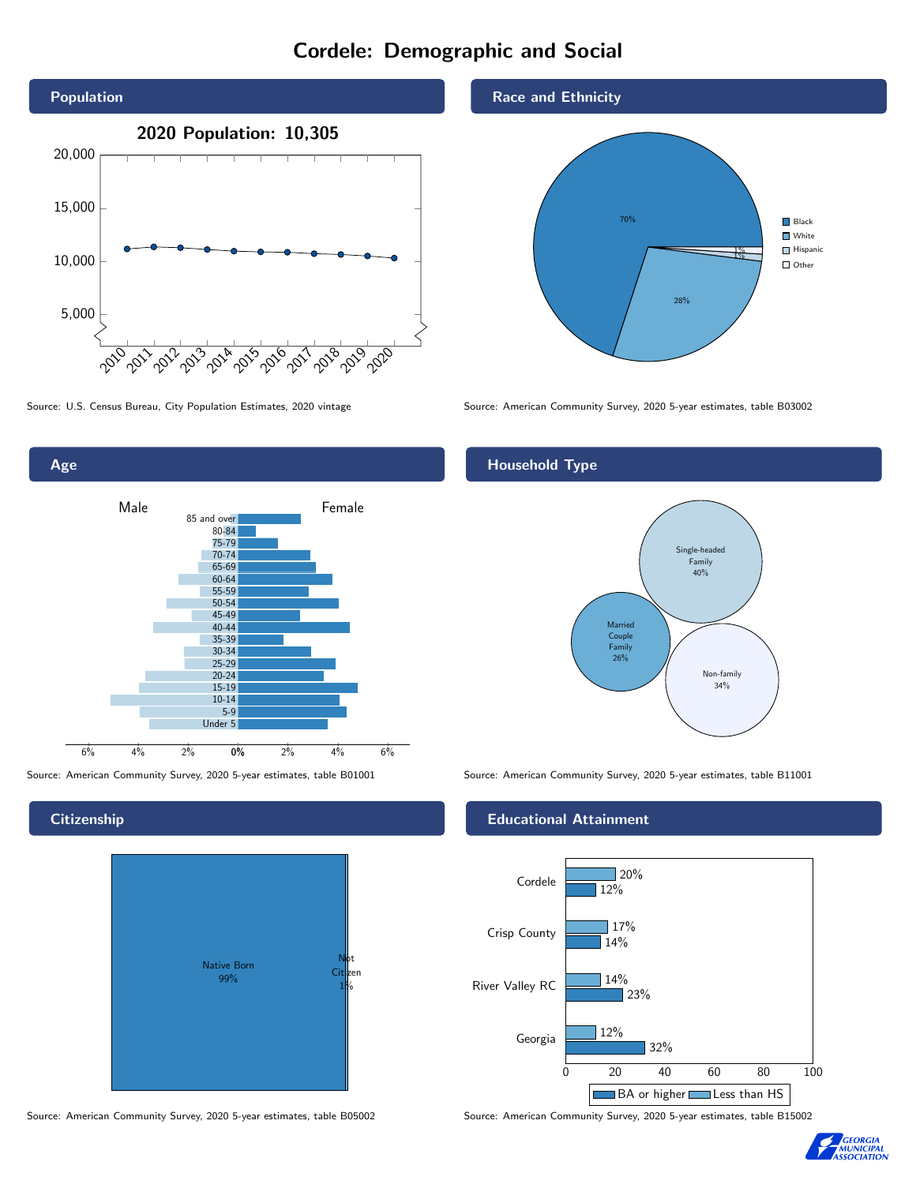# Cordele: Demographic and Social





**Citizenship** 



Source: American Community Survey, 2020 5-year estimates, table B05002 Source: American Community Survey, 2020 5-year estimates, table B15002



Source: U.S. Census Bureau, City Population Estimates, 2020 vintage Source: American Community Survey, 2020 5-year estimates, table B03002

# Household Type



Source: American Community Survey, 2020 5-year estimates, table B01001 Source: American Community Survey, 2020 5-year estimates, table B11001

#### Educational Attainment



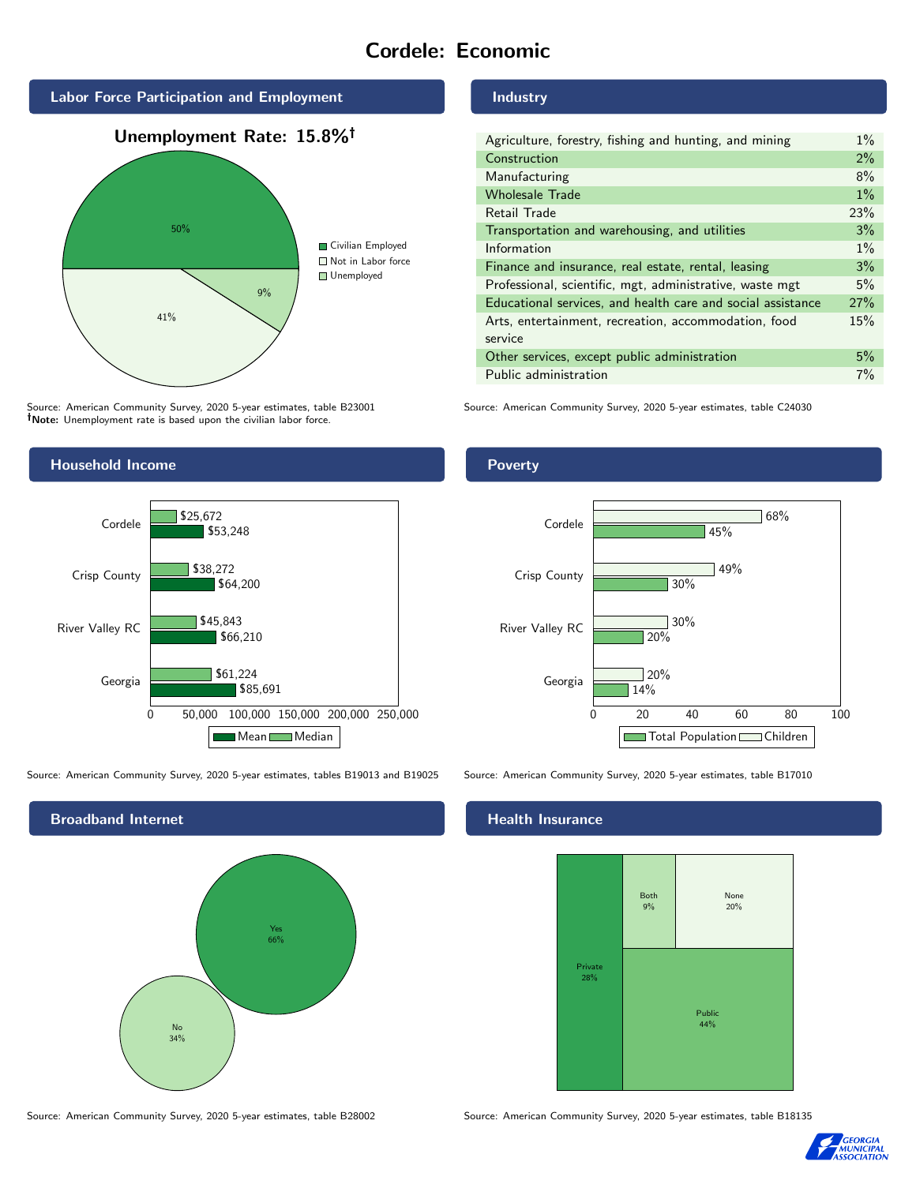# Cordele: Economic



Source: American Community Survey, 2020 5-year estimates, table B23001 Note: Unemployment rate is based upon the civilian labor force.

# Industry

| Agriculture, forestry, fishing and hunting, and mining      | $1\%$ |
|-------------------------------------------------------------|-------|
| Construction                                                | 2%    |
| Manufacturing                                               | 8%    |
| <b>Wholesale Trade</b>                                      | $1\%$ |
| Retail Trade                                                | 23%   |
| Transportation and warehousing, and utilities               | 3%    |
| Information                                                 | $1\%$ |
| Finance and insurance, real estate, rental, leasing         | 3%    |
| Professional, scientific, mgt, administrative, waste mgt    | 5%    |
| Educational services, and health care and social assistance | 27%   |
| Arts, entertainment, recreation, accommodation, food        | 15%   |
| service                                                     |       |
| Other services, except public administration                | 5%    |
| Public administration                                       | 7%    |

Source: American Community Survey, 2020 5-year estimates, table C24030



Source: American Community Survey, 2020 5-year estimates, tables B19013 and B19025 Source: American Community Survey, 2020 5-year estimates, table B17010



## **Health Insurance**



Source: American Community Survey, 2020 5-year estimates, table B28002 Source: American Community Survey, 2020 5-year estimates, table B18135



#### Poverty